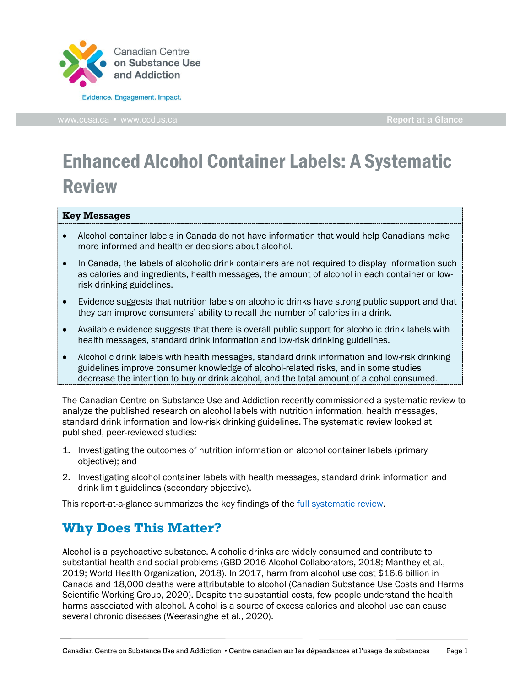

# Enhanced Alcohol Container Labels: A Systematic Review

#### **Key Messages**

- Alcohol container labels in Canada do not have information that would help Canadians make more informed and healthier decisions about alcohol.
- In Canada, the labels of alcoholic drink containers are not required to display information such as calories and ingredients, health messages, the amount of alcohol in each container or lowrisk drinking guidelines.
- Evidence suggests that nutrition labels on alcoholic drinks have strong public support and that they can improve consumers' ability to recall the number of calories in a drink.
- Available evidence suggests that there is overall public support for alcoholic drink labels with health messages, standard drink information and low-risk drinking guidelines.
- Alcoholic drink labels with health messages, standard drink information and low-risk drinking guidelines improve consumer knowledge of alcohol-related risks, and in some studies decrease the intention to buy or drink alcohol, and the total amount of alcohol consumed.

The Canadian Centre on Substance Use and Addiction recently commissioned a systematic review to analyze the published research on alcohol labels with nutrition information, health messages, standard drink information and low-risk drinking guidelines. The systematic review looked at published, peer-reviewed studies:

- 1. Investigating the outcomes of nutrition information on alcohol container labels (primary objective); and
- 2. Investigating alcohol container labels with health messages, standard drink information and drink limit guidelines (secondary objective).

This report-at-a-glance summarizes the key findings of the *full systematic review*.

# **Why Does This Matter?**

Alcohol is a psychoactive substance. Alcoholic drinks are widely consumed and contribute to substantial health and social problems (GBD 2016 Alcohol Collaborators, 2018; Manthey et al., 2019; World Health Organization, 2018). In 2017, harm from alcohol use cost \$16.6 billion in Canada and 18,000 deaths were attributable to alcohol (Canadian Substance Use Costs and Harms Scientific Working Group, 2020). Despite the substantial costs, few people understand the health harms associated with alcohol. Alcohol is a source of excess calories and alcohol use can cause several chronic diseases (Weerasinghe et al., 2020).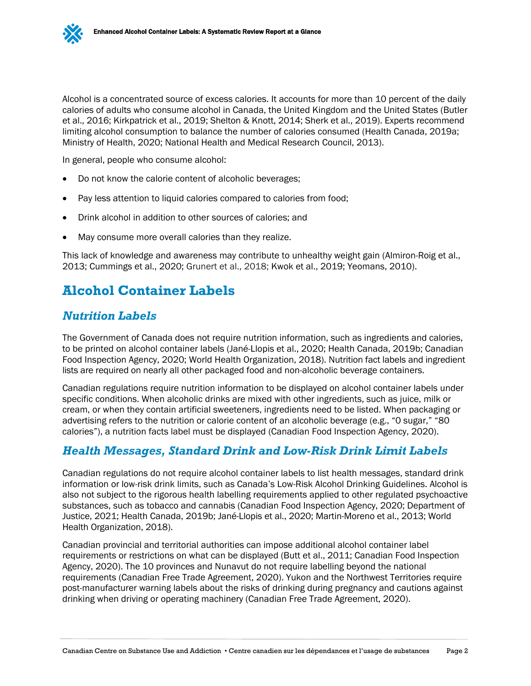Alcohol is a concentrated source of excess calories. It accounts for more than 10 percent of the daily calories of adults who consume alcohol in Canada, the United Kingdom and the United States (Butler et al., 2016; Kirkpatrick et al., 2019; Shelton & Knott, 2014; Sherk et al., 2019). Experts recommend limiting alcohol consumption to balance the number of calories consumed (Health Canada, 2019a; Ministry of Health, 2020; National Health and Medical Research Council, 2013).

In general, people who consume alcohol:

- Do not know the calorie content of alcoholic beverages;
- Pay less attention to liquid calories compared to calories from food;
- Drink alcohol in addition to other sources of calories; and
- May consume more overall calories than they realize.

This lack of knowledge and awareness may contribute to unhealthy weight gain (Almiron-Roig et al., 2013; Cummings et al., 2020; Grunert et al., 2018; Kwok et al., 2019; Yeomans, 2010).

## **Alcohol Container Labels**

#### *Nutrition Labels*

The Government of Canada does not require nutrition information, such as ingredients and calories, to be printed on alcohol container labels (Jané-Llopis et al., 2020; Health Canada, 2019b; Canadian Food Inspection Agency, 2020; World Health Organization, 2018). Nutrition fact labels and ingredient lists are required on nearly all other packaged food and non-alcoholic beverage containers.

Canadian regulations require nutrition information to be displayed on alcohol container labels under specific conditions. When alcoholic drinks are mixed with other ingredients, such as juice, milk or cream, or when they contain artificial sweeteners, ingredients need to be listed. When packaging or advertising refers to the nutrition or calorie content of an alcoholic beverage (e.g., "0 sugar," "80 calories"), a nutrition facts label must be displayed (Canadian Food Inspection Agency, 2020).

#### *Health Messages, Standard Drink and Low-Risk Drink Limit Labels*

Canadian regulations do not require alcohol container labels to list health messages, standard drink information or low-risk drink limits, such as Canada's Low-Risk Alcohol Drinking Guidelines. Alcohol is also not subject to the rigorous health labelling requirements applied to other regulated psychoactive substances, such as tobacco and cannabis (Canadian Food Inspection Agency, 2020; Department of Justice, 2021; Health Canada, 2019b; Jané-Llopis et al., 2020; Martin-Moreno et al., 2013; World Health Organization, 2018).

Canadian provincial and territorial authorities can impose additional alcohol container label requirements or restrictions on what can be displayed (Butt et al., 2011; Canadian Food Inspection Agency, 2020). The 10 provinces and Nunavut do not require labelling beyond the national requirements (Canadian Free Trade Agreement, 2020). Yukon and the Northwest Territories require post-manufacturer warning labels about the risks of drinking during pregnancy and cautions against drinking when driving or operating machinery (Canadian Free Trade Agreement, 2020).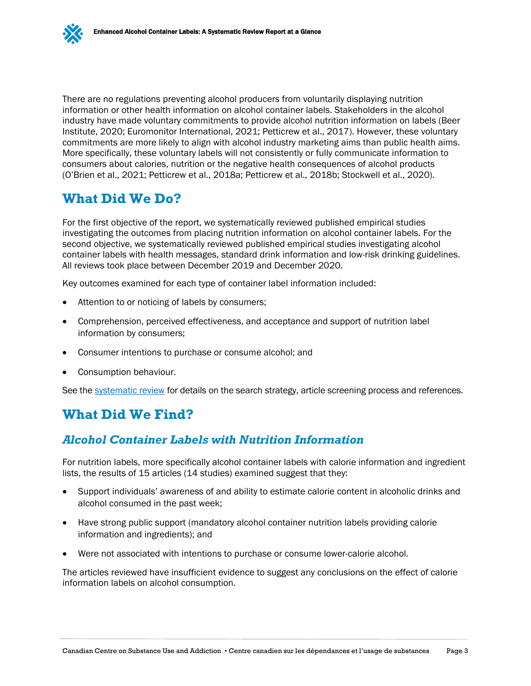There are no regulations preventing alcohol producers from voluntarily displaying nutrition information or other health information on alcohol container labels. Stakeholders in the alcohol industry have made voluntary commitments to provide alcohol nutrition information on labels (Beer Institute, 2020; Euromonitor International, 2021; Petticrew et al., 2017). However, these voluntary commitments are more likely to align with alcohol industry marketing aims than public health aims. More specifically, these voluntary labels will not consistently or fully communicate information to consumers about calories, nutrition or the negative health consequences of alcohol products (O'Brien et al., 2021; Petticrew et al., 2018a; Petticrew et al., 2018b; Stockwell et al., 2020).

# **What Did We Do?**

For the first objective of the report, we systematically reviewed published empirical studies investigating the outcomes from placing nutrition information on alcohol container labels. For the second objective, we systematically reviewed published empirical studies investigating alcohol container labels with health messages, standard drink information and low-risk drinking guidelines. All reviews took place between December 2019 and December 2020.

Key outcomes examined for each type of container label information included:

- Attention to or noticing of labels by consumers;
- Comprehension, perceived effectiveness, and acceptance and support of nutrition label information by consumers;
- Consumer intentions to purchase or consume alcohol; and
- Consumption behaviour.

See the [systematic review](https://www.ccsa.ca/enhanced-alcohol-container-labels-systematic-review-report) for details on the search strategy, article screening process and references.

# **What Did We Find?**

#### *Alcohol Container Labels with Nutrition Information*

For nutrition labels, more specifically alcohol container labels with calorie information and ingredient lists, the results of 15 articles (14 studies) examined suggest that they:

- Support individuals' awareness of and ability to estimate calorie content in alcoholic drinks and alcohol consumed in the past week;
- Have strong public support (mandatory alcohol container nutrition labels providing calorie information and ingredients); and
- Were not associated with intentions to purchase or consume lower-calorie alcohol.

The articles reviewed have insufficient evidence to suggest any conclusions on the effect of calorie information labels on alcohol consumption.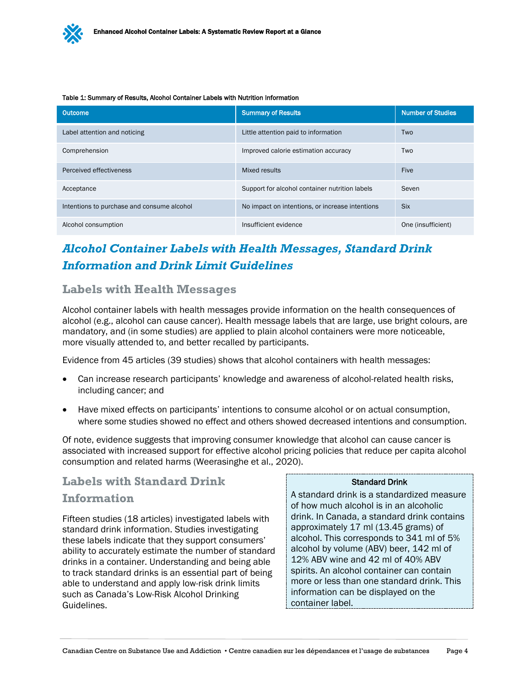Table 1: Summary of Results, Alcohol Container Labels with Nutrition Information

| Outcome                                    | <b>Summary of Results</b>                       | <b>Number of Studies</b> |
|--------------------------------------------|-------------------------------------------------|--------------------------|
| Label attention and noticing               | Little attention paid to information            | Two                      |
| Comprehension                              | Improved calorie estimation accuracy            | Two                      |
| Perceived effectiveness                    | Mixed results                                   | <b>Five</b>              |
| Acceptance                                 | Support for alcohol container nutrition labels  | Seven                    |
| Intentions to purchase and consume alcohol | No impact on intentions, or increase intentions | <b>Six</b>               |
| Alcohol consumption                        | Insufficient evidence                           | One (insufficient)       |

# *Alcohol Container Labels with Health Messages, Standard Drink Information and Drink Limit Guidelines*

### **Labels with Health Messages**

Alcohol container labels with health messages provide information on the health consequences of alcohol (e.g., alcohol can cause cancer). Health message labels that are large, use bright colours, are mandatory, and (in some studies) are applied to plain alcohol containers were more noticeable, more visually attended to, and better recalled by participants.

Evidence from 45 articles (39 studies) shows that alcohol containers with health messages:

- Can increase research participants' knowledge and awareness of alcohol-related health risks, including cancer; and
- Have mixed effects on participants' intentions to consume alcohol or on actual consumption, where some studies showed no effect and others showed decreased intentions and consumption.

Of note, evidence suggests that improving consumer knowledge that alcohol can cause cancer is associated with increased support for effective alcohol pricing policies that reduce per capita alcohol consumption and related harms (Weerasinghe et al., 2020).

### **Labels with Standard Drink**

#### **Information**

Fifteen studies (18 articles) investigated labels with standard drink information. Studies investigating these labels indicate that they support consumers' ability to accurately estimate the number of standard drinks in a container. Understanding and being able to track standard drinks is an essential part of being able to understand and apply low-risk drink limits such as Canada's Low-Risk Alcohol Drinking Guidelines.

#### Standard Drink

A standard drink is a standardized measure of how much alcohol is in an alcoholic drink. In Canada, a standard drink contains approximately 17 ml (13.45 grams) of alcohol. This corresponds to 341 ml of 5% alcohol by volume (ABV) beer, 142 ml of 12% ABV wine and 42 ml of 40% ABV spirits. An alcohol container can contain more or less than one standard drink. This information can be displayed on the container label.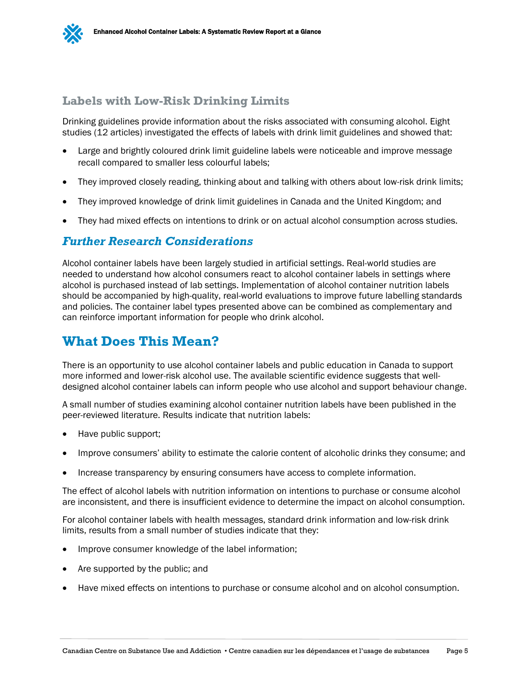

### **Labels with Low-Risk Drinking Limits**

Drinking guidelines provide information about the risks associated with consuming alcohol. Eight studies (12 articles) investigated the effects of labels with drink limit guidelines and showed that:

- Large and brightly coloured drink limit guideline labels were noticeable and improve message recall compared to smaller less colourful labels;
- They improved closely reading, thinking about and talking with others about low-risk drink limits;
- They improved knowledge of drink limit guidelines in Canada and the United Kingdom; and
- They had mixed effects on intentions to drink or on actual alcohol consumption across studies.

#### *Further Research Considerations*

Alcohol container labels have been largely studied in artificial settings. Real-world studies are needed to understand how alcohol consumers react to alcohol container labels in settings where alcohol is purchased instead of lab settings. Implementation of alcohol container nutrition labels should be accompanied by high-quality, real-world evaluations to improve future labelling standards and policies. The container label types presented above can be combined as complementary and can reinforce important information for people who drink alcohol.

## **What Does This Mean?**

There is an opportunity to use alcohol container labels and public education in Canada to support more informed and lower-risk alcohol use. The available scientific evidence suggests that welldesigned alcohol container labels can inform people who use alcohol and support behaviour change.

A small number of studies examining alcohol container nutrition labels have been published in the peer-reviewed literature. Results indicate that nutrition labels:

- Have public support;
- Improve consumers' ability to estimate the calorie content of alcoholic drinks they consume; and
- Increase transparency by ensuring consumers have access to complete information.

The effect of alcohol labels with nutrition information on intentions to purchase or consume alcohol are inconsistent, and there is insufficient evidence to determine the impact on alcohol consumption.

For alcohol container labels with health messages, standard drink information and low-risk drink limits, results from a small number of studies indicate that they:

- Improve consumer knowledge of the label information;
- Are supported by the public; and
- Have mixed effects on intentions to purchase or consume alcohol and on alcohol consumption.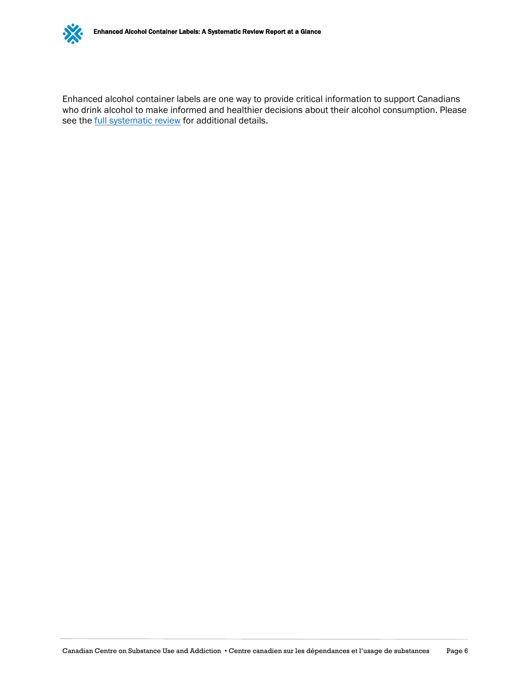

Enhanced alcohol container labels are one way to provide critical information to support Canadians who drink alcohol to make informed and healthier decisions about their alcohol consumption. Please see the **full [systematic review](https://www.ccsa.ca/enhanced-alcohol-container-labels-systematic-review-report)** for additional details.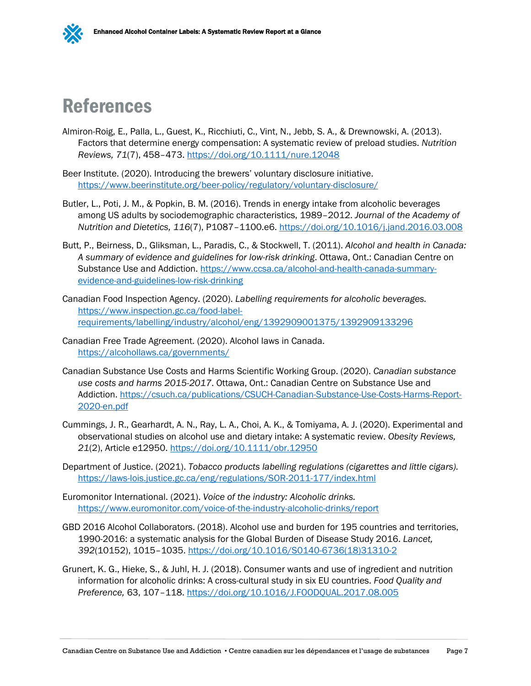

# References

- Almiron-Roig, E., Palla, L., Guest, K., Ricchiuti, C., Vint, N., Jebb, S. A., & Drewnowski, A. (2013). Factors that determine energy compensation: A systematic review of preload studies. *Nutrition Reviews, 71*(7), 458–473.<https://doi.org/10.1111/nure.12048>
- Beer Institute. (2020). Introducing the brewers' voluntary disclosure initiative. <https://www.beerinstitute.org/beer-policy/regulatory/voluntary-disclosure/>
- Butler, L., Poti, J. M., & Popkin, B. M. (2016). Trends in energy intake from alcoholic beverages among US adults by sociodemographic characteristics, 1989–2012. *Journal of the Academy of Nutrition and Dietetics, 116*(7), P1087–1100.e6.<https://doi.org/10.1016/j.jand.2016.03.008>
- Butt, P., Beirness, D., Gliksman, L., Paradis, C., & Stockwell, T. (2011). *Alcohol and health in Canada: A summary of evidence and guidelines for low-risk drinking*. Ottawa, Ont.: Canadian Centre on Substance Use and Addiction. [https://www.ccsa.ca/alcohol-and-health-canada-summary](https://www.ccsa.ca/alcohol-and-health-canada-summary-evidence-and-guidelines-low-risk-drinking)[evidence-and-guidelines-low-risk-drinking](https://www.ccsa.ca/alcohol-and-health-canada-summary-evidence-and-guidelines-low-risk-drinking)
- Canadian Food Inspection Agency. (2020). *Labelling requirements for alcoholic beverages.* [https://www.inspection.gc.ca/food-label](https://www.inspection.gc.ca/food-label-requirements/labelling/industry/alcohol/eng/1392909001375/1392909133296)[requirements/labelling/industry/alcohol/eng/1392909001375/1392909133296](https://www.inspection.gc.ca/food-label-requirements/labelling/industry/alcohol/eng/1392909001375/1392909133296)
- Canadian Free Trade Agreement. (2020). Alcohol laws in Canada. <https://alcohollaws.ca/governments/>
- Canadian Substance Use Costs and Harms Scientific Working Group. (2020). *Canadian substance use costs and harms 2015-2017*. Ottawa, Ont.: Canadian Centre on Substance Use and Addiction. [https://csuch.ca/publications/CSUCH-Canadian-Substance-Use-Costs-Harms-Report-](https://csuch.ca/publications/CSUCH-Canadian-Substance-Use-Costs-Harms-Report-2020-en.pdf)[2020-en.pdf](https://csuch.ca/publications/CSUCH-Canadian-Substance-Use-Costs-Harms-Report-2020-en.pdf)
- Cummings, J. R., Gearhardt, A. N., Ray, L. A., Choi, A. K., & Tomiyama, A. J. (2020). Experimental and observational studies on alcohol use and dietary intake: A systematic review. *Obesity Reviews, 21*(2), Article e12950.<https://doi.org/10.1111/obr.12950>
- Department of Justice. (2021). *Tobacco products labelling regulations (cigarettes and little cigars).* <https://laws-lois.justice.gc.ca/eng/regulations/SOR-2011-177/index.html>
- Euromonitor International. (2021). *Voice of the industry: Alcoholic drinks.* <https://www.euromonitor.com/voice-of-the-industry-alcoholic-drinks/report>
- GBD 2016 Alcohol Collaborators. (2018). Alcohol use and burden for 195 countries and territories, 1990-2016: a systematic analysis for the Global Burden of Disease Study 2016. *Lancet, 392*(10152), 1015–1035. [https://doi.org/10.1016/S0140-6736\(18\)31310-2](https://doi.org/10.1016/S0140-6736(18)31310-2)
- Grunert, K. G., Hieke, S., & Juhl, H. J. (2018). Consumer wants and use of ingredient and nutrition information for alcoholic drinks: A cross-cultural study in six EU countries. *Food Quality and Preference,* 63, 107–118.<https://doi.org/10.1016/J.FOODQUAL.2017.08.005>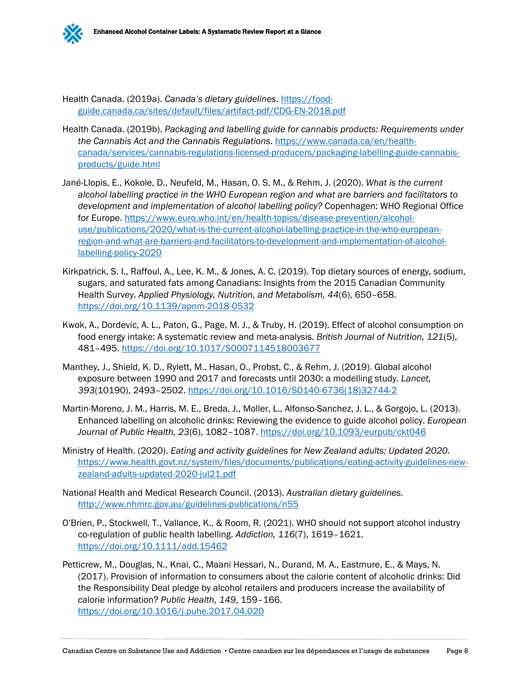

Health Canada. (2019a). *Canada's dietary guidelines*. [https://food](https://food-guide.canada.ca/sites/default/files/artifact-pdf/CDG-EN-2018.pdf)[guide.canada.ca/sites/default/files/artifact-pdf/CDG-EN-2018.pdf](https://food-guide.canada.ca/sites/default/files/artifact-pdf/CDG-EN-2018.pdf)

- Health Canada. (2019b). *Packaging and labelling guide for cannabis products: Requirements under the Cannabis Act and the Cannabis Regulations*. [https://www.canada.ca/en/health](https://www.canada.ca/en/health-canada/services/cannabis-regulations-licensed-producers/packaging-labelling-guide-cannabis-products/guide.html)[canada/services/cannabis-regulations-licensed-producers/packaging-labelling-guide-cannabis](https://www.canada.ca/en/health-canada/services/cannabis-regulations-licensed-producers/packaging-labelling-guide-cannabis-products/guide.html)[products/guide.html](https://www.canada.ca/en/health-canada/services/cannabis-regulations-licensed-producers/packaging-labelling-guide-cannabis-products/guide.html)
- Jané-Llopis, E., Kokole, D., Neufeld, M., Hasan, O. S. M., & Rehm, J. (2020). *What is the current alcohol labelling practice in the WHO European region and what are barriers and facilitators to development and implementation of alcohol labelling policy?* Copenhagen: WHO Regional Office for Europe. [https://www.euro.who.int/en/health-topics/disease-prevention/alcohol](https://www.euro.who.int/en/health-topics/disease-prevention/alcohol-use/publications/2020/what-is-the-current-alcohol-labelling-practice-in-the-who-european-region-and-what-are-barriers-and-facilitators-to-development-and-implementation-of-alcohol-labelling-policy-2020)[use/publications/2020/what-is-the-current-alcohol-labelling-practice-in-the-who-european](https://www.euro.who.int/en/health-topics/disease-prevention/alcohol-use/publications/2020/what-is-the-current-alcohol-labelling-practice-in-the-who-european-region-and-what-are-barriers-and-facilitators-to-development-and-implementation-of-alcohol-labelling-policy-2020)[region-and-what-are-barriers-and-facilitators-to-development-and-implementation-of-alcohol](https://www.euro.who.int/en/health-topics/disease-prevention/alcohol-use/publications/2020/what-is-the-current-alcohol-labelling-practice-in-the-who-european-region-and-what-are-barriers-and-facilitators-to-development-and-implementation-of-alcohol-labelling-policy-2020)[labelling-policy-2020](https://www.euro.who.int/en/health-topics/disease-prevention/alcohol-use/publications/2020/what-is-the-current-alcohol-labelling-practice-in-the-who-european-region-and-what-are-barriers-and-facilitators-to-development-and-implementation-of-alcohol-labelling-policy-2020)
- Kirkpatrick, S. I., Raffoul, A., Lee, K. M., & Jones, A. C. (2019). Top dietary sources of energy, sodium, sugars, and saturated fats among Canadians: Insights from the 2015 Canadian Community Health Survey. *Applied Physiology, Nutrition, and Metabolism, 44*(6), 650–658. <https://doi.org/10.1139/apnm-2018-0532>
- Kwok, A., Dordevic, A. L., Paton, G., Page, M. J., & Truby, H. (2019). Effect of alcohol consumption on food energy intake: A systematic review and meta-analysis. *British Journal of Nutrition, 121*(5), 481–495.<https://doi.org/10.1017/S0007114518003677>
- Manthey, J., Shield, K. D., Rylett, M., Hasan, O., Probst, C., & Rehm, J. (2019). Global alcohol exposure between 1990 and 2017 and forecasts until 2030: a modelling study. *Lancet, 393*(10190), 2493–2502. [https://doi.org/10.1016/S0140-6736\(18\)32744-2](https://doi.org/10.1016/S0140-6736(18)32744-2)
- Martin-Moreno, J. M., Harris, M. E., Breda, J., Moller, L., Alfonso-Sanchez, J. L., & Gorgojo, L. (2013). Enhanced labelling on alcoholic drinks: Reviewing the evidence to guide alcohol policy. *European Journal of Public Health, 23*(6), 1082–1087.<https://doi.org/10.1093/eurpub/ckt046>
- Ministry of Health. (2020). *Eating and activity guidelines for New Zealand adults: Updated 2020.* [https://www.health.govt.nz/system/files/documents/publications/eating-activity-guidelines-new](https://www.health.govt.nz/system/files/documents/publications/eating-activity-guidelines-new-zealand-adults-updated-2020-jul21.pdf)[zealand-adults-updated-2020-jul21.pdf](https://www.health.govt.nz/system/files/documents/publications/eating-activity-guidelines-new-zealand-adults-updated-2020-jul21.pdf)
- National Health and Medical Research Council. (2013). *Australian dietary guidelines.* <http://www.nhmrc.gov.au/guidelines-publications/n55>
- O'Brien, P., Stockwell, T., Vallance, K., & Room, R. (2021). WHO should not support alcohol industry co-regulation of public health labelling. *Addiction, 116*(7), 1619–1621. <https://doi.org/10.1111/add.15462>
- Petticrew, M., Douglas, N., Knai, C., Maani Hessari, N., Durand, M. A., Eastmure, E., & Mays, N. (2017). Provision of information to consumers about the calorie content of alcoholic drinks: Did the Responsibility Deal pledge by alcohol retailers and producers increase the availability of calorie information? *Public Health, 149*, 159–166. <https://doi.org/10.1016/j.puhe.2017.04.020>